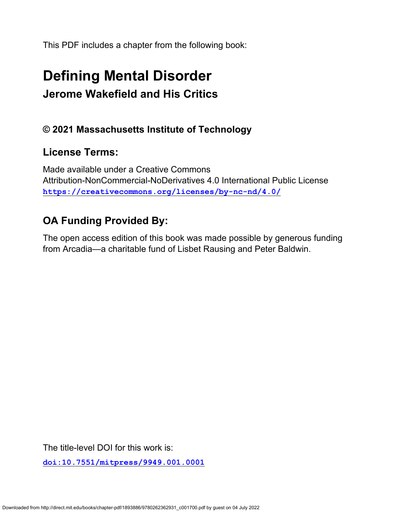This PDF includes a chapter from the following book:

# **Defining Mental Disorder Jerome Wakefield and His Critics**

### **© 2021 Massachusetts Institute of Technology**

## **License Terms:**

Made available under a Creative Commons Attribution-NonCommercial-NoDerivatives 4.0 International Public License **<https://creativecommons.org/licenses/by-nc-nd/4.0/>**

# **OA Funding Provided By:**

The open access edition of this book was made possible by generous funding from Arcadia—a charitable fund of Lisbet Rausing and Peter Baldwin.

The title-level DOI for this work is:

**[doi:10.7551/mitpress/9949.001.0001](https://doi.org/10.7551/mitpress/9949.001.0001)**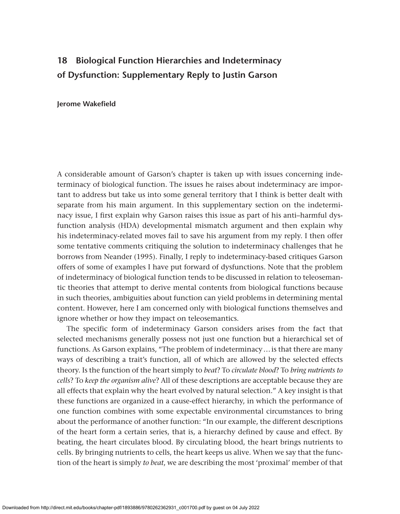### **18 Biological Function Hierarchies and Indeterminacy of Dysfunction: Supplementary Reply to Justin Garson**

#### **Jerome Wakefield**

A considerable amount of Garson's chapter is taken up with issues concerning indeterminacy of biological function. The issues he raises about indeterminacy are important to address but take us into some general territory that I think is better dealt with separate from his main argument. In this supplementary section on the indeterminacy issue, I first explain why Garson raises this issue as part of his anti–harmful dysfunction analysis (HDA) developmental mismatch argument and then explain why his indeterminacy-related moves fail to save his argument from my reply. I then offer some tentative comments critiquing the solution to indeterminacy challenges that he borrows from Neander (1995). Finally, I reply to indeterminacy-based critiques Garson offers of some of examples I have put forward of dysfunctions. Note that the problem of indeterminacy of biological function tends to be discussed in relation to teleosemantic theories that attempt to derive mental contents from biological functions because in such theories, ambiguities about function can yield problems in determining mental content. However, here I am concerned only with biological functions themselves and ignore whether or how they impact on teleosemantics.

The specific form of indeterminacy Garson considers arises from the fact that selected mechanisms generally possess not just one function but a hierarchical set of functions. As Garson explains, "The problem of indeterminacy…is that there are many ways of describing a trait's function, all of which are allowed by the selected effects theory. Is the function of the heart simply to *beat*? To *circulate blood*? To *bring nutrients to cells*? To *keep the organism alive*? All of these descriptions are acceptable because they are all effects that explain why the heart evolved by natural selection." A key insight is that these functions are organized in a cause-effect hierarchy, in which the performance of one function combines with some expectable environmental circumstances to bring about the performance of another function: "In our example, the different descriptions of the heart form a certain series, that is, a hierarchy defined by cause and effect. By beating, the heart circulates blood. By circulating blood, the heart brings nutrients to cells. By bringing nutrients to cells, the heart keeps us alive. When we say that the function of the heart is simply *to beat*, we are describing the most 'proximal' member of that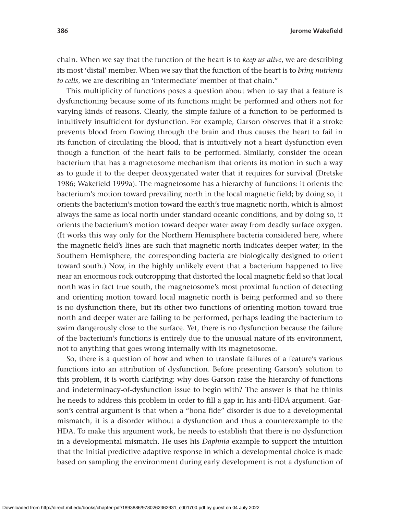chain. When we say that the function of the heart is to *keep us alive*, we are describing its most 'distal' member. When we say that the function of the heart is to *bring nutrients to cells*, we are describing an 'intermediate' member of that chain."

This multiplicity of functions poses a question about when to say that a feature is dysfunctioning because some of its functions might be performed and others not for varying kinds of reasons. Clearly, the simple failure of a function to be performed is intuitively insufficient for dysfunction. For example, Garson observes that if a stroke prevents blood from flowing through the brain and thus causes the heart to fail in its function of circulating the blood, that is intuitively not a heart dysfunction even though a function of the heart fails to be performed. Similarly, consider the ocean bacterium that has a magnetosome mechanism that orients its motion in such a way as to guide it to the deeper deoxygenated water that it requires for survival (Dretske 1986; Wakefield 1999a). The magnetosome has a hierarchy of functions: it orients the bacterium's motion toward prevailing north in the local magnetic field; by doing so, it orients the bacterium's motion toward the earth's true magnetic north, which is almost always the same as local north under standard oceanic conditions, and by doing so, it orients the bacterium's motion toward deeper water away from deadly surface oxygen. (It works this way only for the Northern Hemisphere bacteria considered here, where the magnetic field's lines are such that magnetic north indicates deeper water; in the Southern Hemisphere, the corresponding bacteria are biologically designed to orient toward south.) Now, in the highly unlikely event that a bacterium happened to live near an enormous rock outcropping that distorted the local magnetic field so that local north was in fact true south, the magnetosome's most proximal function of detecting and orienting motion toward local magnetic north is being performed and so there is no dysfunction there, but its other two functions of orienting motion toward true north and deeper water are failing to be performed, perhaps leading the bacterium to swim dangerously close to the surface. Yet, there is no dysfunction because the failure of the bacterium's functions is entirely due to the unusual nature of its environment, not to anything that goes wrong internally with its magnetosome.

So, there is a question of how and when to translate failures of a feature's various functions into an attribution of dysfunction. Before presenting Garson's solution to this problem, it is worth clarifying: why does Garson raise the hierarchy-of-functions and indeterminacy-of-dysfunction issue to begin with? The answer is that he thinks he needs to address this problem in order to fill a gap in his anti-HDA argument. Garson's central argument is that when a "bona fide" disorder is due to a developmental mismatch, it is a disorder without a dysfunction and thus a counterexample to the HDA. To make this argument work, he needs to establish that there is no dysfunction in a developmental mismatch. He uses his *Daphnia* example to support the intuition that the initial predictive adaptive response in which a developmental choice is made based on sampling the environment during early development is not a dysfunction of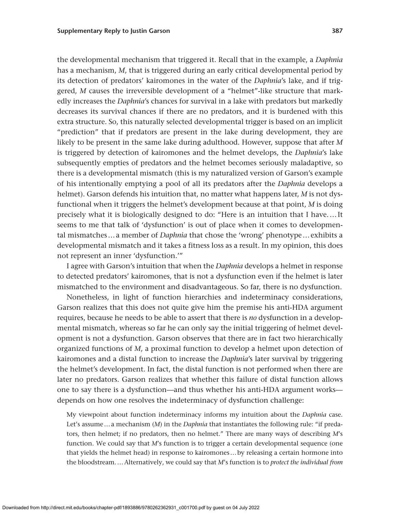the developmental mechanism that triggered it. Recall that in the example, a *Daphnia* has a mechanism, *M*, that is triggered during an early critical developmental period by its detection of predators' kairomones in the water of the *Daphnia*'s lake, and if triggered, *M* causes the irreversible development of a "helmet"-like structure that markedly increases the *Daphnia*'s chances for survival in a lake with predators but markedly decreases its survival chances if there are no predators, and it is burdened with this extra structure. So, this naturally selected developmental trigger is based on an implicit "prediction" that if predators are present in the lake during development, they are likely to be present in the same lake during adulthood. However, suppose that after *M* is triggered by detection of kairomones and the helmet develops, the *Daphnia*'s lake subsequently empties of predators and the helmet becomes seriously maladaptive, so there is a developmental mismatch (this is my naturalized version of Garson's example of his intentionally emptying a pool of all its predators after the *Daphnia* develops a helmet). Garson defends his intuition that, no matter what happens later, *M* is not dysfunctional when it triggers the helmet's development because at that point, *M* is doing precisely what it is biologically designed to do: "Here is an intuition that I have.…It seems to me that talk of 'dysfunction' is out of place when it comes to developmental mismatches…a member of *Daphnia* that chose the 'wrong' phenotype…exhibits a developmental mismatch and it takes a fitness loss as a result. In my opinion, this does not represent an inner 'dysfunction.'"

I agree with Garson's intuition that when the *Daphnia* develops a helmet in response to detected predators' kairomones, that is not a dysfunction even if the helmet is later mismatched to the environment and disadvantageous. So far, there is no dysfunction.

Nonetheless, in light of function hierarchies and indeterminacy considerations, Garson realizes that this does not quite give him the premise his anti-HDA argument requires, because he needs to be able to assert that there is *no* dysfunction in a developmental mismatch, whereas so far he can only say the initial triggering of helmet development is not a dysfunction. Garson observes that there are in fact two hierarchically organized functions of *M*, a proximal function to develop a helmet upon detection of kairomones and a distal function to increase the *Daphnia*'s later survival by triggering the helmet's development. In fact, the distal function is not performed when there are later no predators. Garson realizes that whether this failure of distal function allows one to say there is a dysfunction—and thus whether his anti-HDA argument works depends on how one resolves the indeterminacy of dysfunction challenge:

My viewpoint about function indeterminacy informs my intuition about the *Daphnia* case. Let's assume…a mechanism (*M*) in the *Daphnia* that instantiates the following rule: "if predators, then helmet; if no predators, then no helmet." There are many ways of describing *M*'s function. We could say that *M*'s function is to trigger a certain developmental sequence (one that yields the helmet head) in response to kairomones…by releasing a certain hormone into the bloodstream.…Alternatively, we could say that *M*'s function is to *protect the individual from*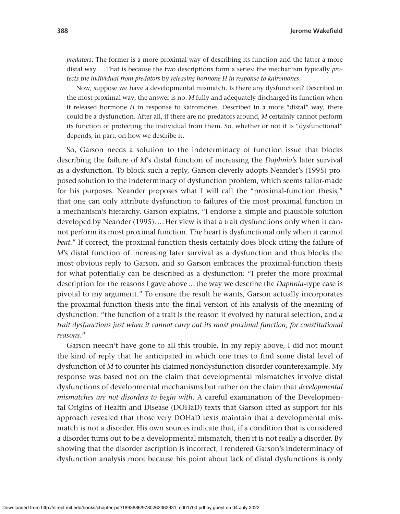*predators*. The former is a more proximal way of describing its function and the latter a more distal way.…That is because the two descriptions form a series: the mechanism typically *protects the individual from predators* by *releasing hormone H in response to kairomones*.

Now, suppose we have a developmental mismatch. Is there any dysfunction? Described in the most proximal way, the answer is no. *M* fully and adequately discharged its function when it released hormone *H* in response to kairomones. Described in a more "distal" way, there could be a dysfunction. After all, if there are no predators around, *M* certainly cannot perform its function of protecting the individual from them. So, whether or not it is "dysfunctional" depends, in part, on how we describe it.

So, Garson needs a solution to the indeterminacy of function issue that blocks describing the failure of *M*'s distal function of increasing the *Daphnia*'s later survival as a dysfunction. To block such a reply, Garson cleverly adopts Neander's (1995) proposed solution to the indeterminacy of dysfunction problem, which seems tailor-made for his purposes. Neander proposes what I will call the "proximal-function thesis," that one can only attribute dysfunction to failures of the most proximal function in a mechanism's hierarchy. Garson explains, "I endorse a simple and plausible solution developed by Neander (1995).…Her view is that a trait dysfunctions only when it cannot perform its most proximal function. The heart is dysfunctional only when it cannot *beat*." If correct, the proximal-function thesis certainly does block citing the failure of *M*'s distal function of increasing later survival as a dysfunction and thus blocks the most obvious reply to Garson, and so Garson embraces the proximal-function thesis for what potentially can be described as a dysfunction: "I prefer the more proximal description for the reasons I gave above…the way we describe the *Daphnia*-type case is pivotal to my argument." To ensure the result he wants, Garson actually incorporates the proximal-function thesis into the final version of his analysis of the meaning of dysfunction: "the function of a trait is the reason it evolved by natural selection, and *a trait dysfunctions just when it cannot carry out its most proximal function, for constitutional reasons.*"

Garson needn't have gone to all this trouble. In my reply above, I did not mount the kind of reply that he anticipated in which one tries to find some distal level of dysfunction of *M* to counter his claimed nondysfunction-disorder counterexample. My response was based not on the claim that developmental mismatches involve distal dysfunctions of developmental mechanisms but rather on the claim that *developmental mismatches are not disorders to begin with*. A careful examination of the Developmental Origins of Health and Disease (DOHaD) texts that Garson cited as support for his approach revealed that those very DOHaD texts maintain that a developmental mismatch is not a disorder. His own sources indicate that, if a condition that is considered a disorder turns out to be a developmental mismatch, then it is not really a disorder. By showing that the disorder ascription is incorrect, I rendered Garson's indeterminacy of dysfunction analysis moot because his point about lack of distal dysfunctions is only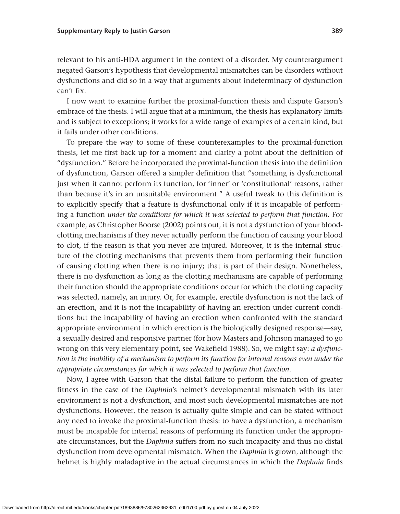relevant to his anti-HDA argument in the context of a disorder. My counterargument negated Garson's hypothesis that developmental mismatches can be disorders without dysfunctions and did so in a way that arguments about indeterminacy of dysfunction can't fix.

I now want to examine further the proximal-function thesis and dispute Garson's embrace of the thesis. I will argue that at a minimum, the thesis has explanatory limits and is subject to exceptions; it works for a wide range of examples of a certain kind, but it fails under other conditions.

To prepare the way to some of these counterexamples to the proximal-function thesis, let me first back up for a moment and clarify a point about the definition of "dysfunction." Before he incorporated the proximal-function thesis into the definition of dysfunction, Garson offered a simpler definition that "something is dysfunctional just when it cannot perform its function, for 'inner' or 'constitutional' reasons, rather than because it's in an unsuitable environment." A useful tweak to this definition is to explicitly specify that a feature is dysfunctional only if it is incapable of performing a function *under the conditions for which it was selected to perform that function*. For example, as Christopher Boorse (2002) points out, it is not a dysfunction of your bloodclotting mechanisms if they never actually perform the function of causing your blood to clot, if the reason is that you never are injured. Moreover, it is the internal structure of the clotting mechanisms that prevents them from performing their function of causing clotting when there is no injury; that is part of their design. Nonetheless, there is no dysfunction as long as the clotting mechanisms are capable of performing their function should the appropriate conditions occur for which the clotting capacity was selected, namely, an injury. Or, for example, erectile dysfunction is not the lack of an erection, and it is not the incapability of having an erection under current conditions but the incapability of having an erection when confronted with the standard appropriate environment in which erection is the biologically designed response—say, a sexually desired and responsive partner (for how Masters and Johnson managed to go wrong on this very elementary point, see Wakefield 1988). So, we might say: *a dysfunction is the inability of a mechanism to perform its function for internal reasons even under the appropriate circumstances for which it was selected to perform that function*.

Now, I agree with Garson that the distal failure to perform the function of greater fitness in the case of the *Daphnia*'s helmet's developmental mismatch with its later environment is not a dysfunction, and most such developmental mismatches are not dysfunctions. However, the reason is actually quite simple and can be stated without any need to invoke the proximal-function thesis: to have a dysfunction, a mechanism must be incapable for internal reasons of performing its function under the appropriate circumstances, but the *Daphnia* suffers from no such incapacity and thus no distal dysfunction from developmental mismatch. When the *Daphnia* is grown, although the helmet is highly maladaptive in the actual circumstances in which the *Daphnia* finds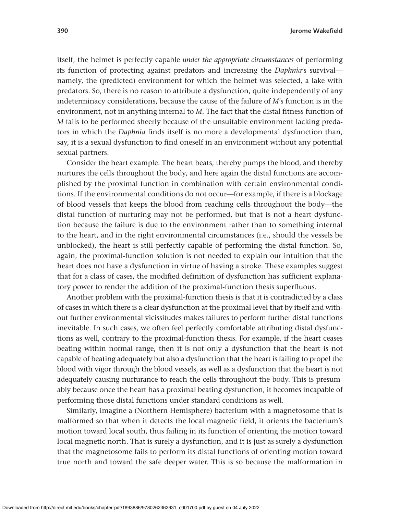itself, the helmet is perfectly capable *under the appropriate circumstances* of performing its function of protecting against predators and increasing the *Daphnia*'s survival namely, the (predicted) environment for which the helmet was selected, a lake with predators. So, there is no reason to attribute a dysfunction, quite independently of any indeterminacy considerations, because the cause of the failure of *M*'s function is in the environment, not in anything internal to *M*. The fact that the distal fitness function of *M* fails to be performed sheerly because of the unsuitable environment lacking predators in which the *Daphnia* finds itself is no more a developmental dysfunction than, say, it is a sexual dysfunction to find oneself in an environment without any potential sexual partners.

Consider the heart example. The heart beats, thereby pumps the blood, and thereby nurtures the cells throughout the body, and here again the distal functions are accomplished by the proximal function in combination with certain environmental conditions. If the environmental conditions do not occur—for example, if there is a blockage of blood vessels that keeps the blood from reaching cells throughout the body—the distal function of nurturing may not be performed, but that is not a heart dysfunction because the failure is due to the environment rather than to something internal to the heart, and in the right environmental circumstances (i.e., should the vessels be unblocked), the heart is still perfectly capable of performing the distal function. So, again, the proximal-function solution is not needed to explain our intuition that the heart does not have a dysfunction in virtue of having a stroke. These examples suggest that for a class of cases, the modified definition of dysfunction has sufficient explanatory power to render the addition of the proximal-function thesis superfluous.

Another problem with the proximal-function thesis is that it is contradicted by a class of cases in which there is a clear dysfunction at the proximal level that by itself and without further environmental vicissitudes makes failures to perform further distal functions inevitable. In such cases, we often feel perfectly comfortable attributing distal dysfunctions as well, contrary to the proximal-function thesis. For example, if the heart ceases beating within normal range, then it is not only a dysfunction that the heart is not capable of beating adequately but also a dysfunction that the heart is failing to propel the blood with vigor through the blood vessels, as well as a dysfunction that the heart is not adequately causing nurturance to reach the cells throughout the body. This is presumably because once the heart has a proximal beating dysfunction, it becomes incapable of performing those distal functions under standard conditions as well.

Similarly, imagine a (Northern Hemisphere) bacterium with a magnetosome that is malformed so that when it detects the local magnetic field, it orients the bacterium's motion toward local south, thus failing in its function of orienting the motion toward local magnetic north. That is surely a dysfunction, and it is just as surely a dysfunction that the magnetosome fails to perform its distal functions of orienting motion toward true north and toward the safe deeper water. This is so because the malformation in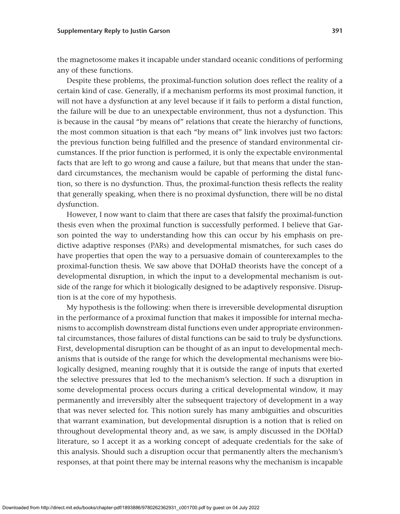the magnetosome makes it incapable under standard oceanic conditions of performing any of these functions.

Despite these problems, the proximal-function solution does reflect the reality of a certain kind of case. Generally, if a mechanism performs its most proximal function, it will not have a dysfunction at any level because if it fails to perform a distal function, the failure will be due to an unexpectable environment, thus not a dysfunction. This is because in the causal "by means of" relations that create the hierarchy of functions, the most common situation is that each "by means of" link involves just two factors: the previous function being fulfilled and the presence of standard environmental circumstances. If the prior function is performed, it is only the expectable environmental facts that are left to go wrong and cause a failure, but that means that under the standard circumstances, the mechanism would be capable of performing the distal function, so there is no dysfunction. Thus, the proximal-function thesis reflects the reality that generally speaking, when there is no proximal dysfunction, there will be no distal dysfunction.

However, I now want to claim that there are cases that falsify the proximal-function thesis even when the proximal function is successfully performed. I believe that Garson pointed the way to understanding how this can occur by his emphasis on predictive adaptive responses (PARs) and developmental mismatches, for such cases do have properties that open the way to a persuasive domain of counterexamples to the proximal-function thesis. We saw above that DOHaD theorists have the concept of a developmental disruption, in which the input to a developmental mechanism is outside of the range for which it biologically designed to be adaptively responsive. Disruption is at the core of my hypothesis.

My hypothesis is the following: when there is irreversible developmental disruption in the performance of a proximal function that makes it impossible for internal mechanisms to accomplish downstream distal functions even under appropriate environmental circumstances, those failures of distal functions can be said to truly be dysfunctions. First, developmental disruption can be thought of as an input to developmental mechanisms that is outside of the range for which the developmental mechanisms were biologically designed, meaning roughly that it is outside the range of inputs that exerted the selective pressures that led to the mechanism's selection. If such a disruption in some developmental process occurs during a critical developmental window, it may permanently and irreversibly alter the subsequent trajectory of development in a way that was never selected for. This notion surely has many ambiguities and obscurities that warrant examination, but developmental disruption is a notion that is relied on throughout developmental theory and, as we saw, is amply discussed in the DOHaD literature, so I accept it as a working concept of adequate credentials for the sake of this analysis. Should such a disruption occur that permanently alters the mechanism's responses, at that point there may be internal reasons why the mechanism is incapable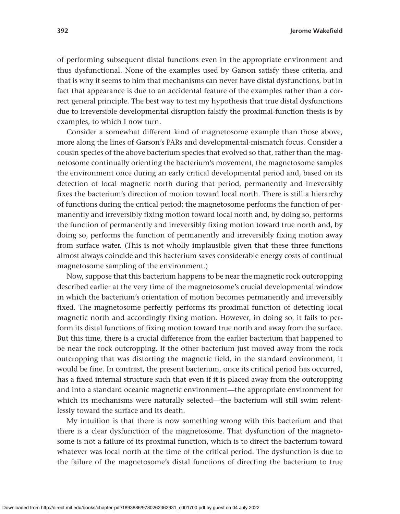of performing subsequent distal functions even in the appropriate environment and thus dysfunctional. None of the examples used by Garson satisfy these criteria, and that is why it seems to him that mechanisms can never have distal dysfunctions, but in fact that appearance is due to an accidental feature of the examples rather than a correct general principle. The best way to test my hypothesis that true distal dysfunctions due to irreversible developmental disruption falsify the proximal-function thesis is by examples, to which I now turn.

Consider a somewhat different kind of magnetosome example than those above, more along the lines of Garson's PARs and developmental-mismatch focus. Consider a cousin species of the above bacterium species that evolved so that, rather than the magnetosome continually orienting the bacterium's movement, the magnetosome samples the environment once during an early critical developmental period and, based on its detection of local magnetic north during that period, permanently and irreversibly fixes the bacterium's direction of motion toward local north. There is still a hierarchy of functions during the critical period: the magnetosome performs the function of permanently and irreversibly fixing motion toward local north and, by doing so, performs the function of permanently and irreversibly fixing motion toward true north and, by doing so, performs the function of permanently and irreversibly fixing motion away from surface water. (This is not wholly implausible given that these three functions almost always coincide and this bacterium saves considerable energy costs of continual magnetosome sampling of the environment.)

Now, suppose that this bacterium happens to be near the magnetic rock outcropping described earlier at the very time of the magnetosome's crucial developmental window in which the bacterium's orientation of motion becomes permanently and irreversibly fixed. The magnetosome perfectly performs its proximal function of detecting local magnetic north and accordingly fixing motion. However, in doing so, it fails to perform its distal functions of fixing motion toward true north and away from the surface. But this time, there is a crucial difference from the earlier bacterium that happened to be near the rock outcropping. If the other bacterium just moved away from the rock outcropping that was distorting the magnetic field, in the standard environment, it would be fine. In contrast, the present bacterium, once its critical period has occurred, has a fixed internal structure such that even if it is placed away from the outcropping and into a standard oceanic magnetic environment—the appropriate environment for which its mechanisms were naturally selected—the bacterium will still swim relentlessly toward the surface and its death.

My intuition is that there is now something wrong with this bacterium and that there is a clear dysfunction of the magnetosome. That dysfunction of the magnetosome is not a failure of its proximal function, which is to direct the bacterium toward whatever was local north at the time of the critical period. The dysfunction is due to the failure of the magnetosome's distal functions of directing the bacterium to true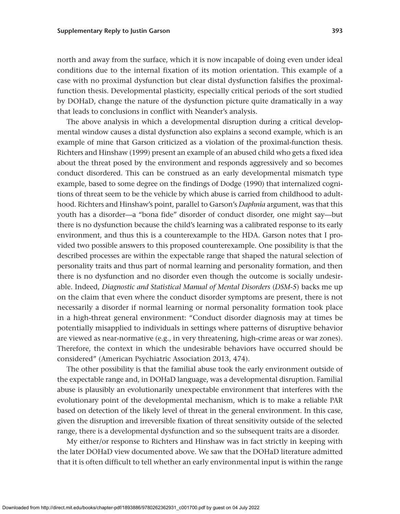north and away from the surface, which it is now incapable of doing even under ideal conditions due to the internal fixation of its motion orientation. This example of a case with no proximal dysfunction but clear distal dysfunction falsifies the proximalfunction thesis. Developmental plasticity, especially critical periods of the sort studied by DOHaD, change the nature of the dysfunction picture quite dramatically in a way that leads to conclusions in conflict with Neander's analysis.

The above analysis in which a developmental disruption during a critical developmental window causes a distal dysfunction also explains a second example, which is an example of mine that Garson criticized as a violation of the proximal-function thesis. Richters and Hinshaw (1999) present an example of an abused child who gets a fixed idea about the threat posed by the environment and responds aggressively and so becomes conduct disordered. This can be construed as an early developmental mismatch type example, based to some degree on the findings of Dodge (1990) that internalized cognitions of threat seem to be the vehicle by which abuse is carried from childhood to adulthood. Richters and Hinshaw's point, parallel to Garson's *Daphnia* argument, was that this youth has a disorder—a "bona fide" disorder of conduct disorder, one might say—but there is no dysfunction because the child's learning was a calibrated response to its early environment, and thus this is a counterexample to the HDA. Garson notes that I provided two possible answers to this proposed counterexample. One possibility is that the described processes are within the expectable range that shaped the natural selection of personality traits and thus part of normal learning and personality formation, and then there is no dysfunction and no disorder even though the outcome is socially undesirable. Indeed, *Diagnostic and Statistical Manual of Mental Disorders* (*DSM-5*) backs me up on the claim that even where the conduct disorder symptoms are present, there is not necessarily a disorder if normal learning or normal personality formation took place in a high-threat general environment: "Conduct disorder diagnosis may at times be potentially misapplied to individuals in settings where patterns of disruptive behavior are viewed as near-normative (e.g., in very threatening, high-crime areas or war zones). Therefore, the context in which the undesirable behaviors have occurred should be considered" (American Psychiatric Association 2013, 474).

The other possibility is that the familial abuse took the early environment outside of the expectable range and, in DOHaD language, was a developmental disruption. Familial abuse is plausibly an evolutionarily unexpectable environment that interferes with the evolutionary point of the developmental mechanism, which is to make a reliable PAR based on detection of the likely level of threat in the general environment. In this case, given the disruption and irreversible fixation of threat sensitivity outside of the selected range, there is a developmental dysfunction and so the subsequent traits are a disorder.

My either/or response to Richters and Hinshaw was in fact strictly in keeping with the later DOHaD view documented above. We saw that the DOHaD literature admitted that it is often difficult to tell whether an early environmental input is within the range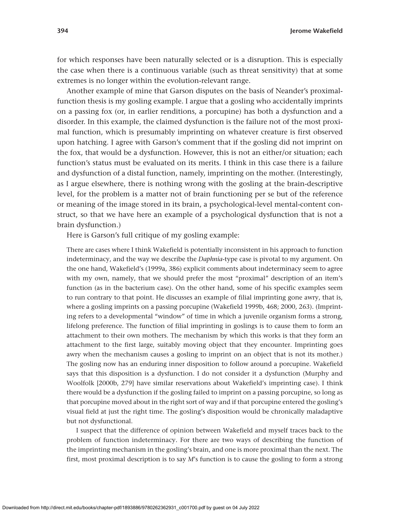for which responses have been naturally selected or is a disruption. This is especially the case when there is a continuous variable (such as threat sensitivity) that at some extremes is no longer within the evolution-relevant range.

Another example of mine that Garson disputes on the basis of Neander's proximalfunction thesis is my gosling example. I argue that a gosling who accidentally imprints on a passing fox (or, in earlier renditions, a porcupine) has both a dysfunction and a disorder. In this example, the claimed dysfunction is the failure not of the most proximal function, which is presumably imprinting on whatever creature is first observed upon hatching. I agree with Garson's comment that if the gosling did not imprint on the fox, that would be a dysfunction. However, this is not an either/or situation; each function's status must be evaluated on its merits. I think in this case there is a failure and dysfunction of a distal function, namely, imprinting on the mother. (Interestingly, as I argue elsewhere, there is nothing wrong with the gosling at the brain-descriptive level, for the problem is a matter not of brain functioning per se but of the reference or meaning of the image stored in its brain, a psychological-level mental-content construct, so that we have here an example of a psychological dysfunction that is not a brain dysfunction.)

Here is Garson's full critique of my gosling example:

There are cases where I think Wakefield is potentially inconsistent in his approach to function indeterminacy, and the way we describe the *Daphnia*-type case is pivotal to my argument. On the one hand, Wakefield's (1999a, 386) explicit comments about indeterminacy seem to agree with my own, namely, that we should prefer the most "proximal" description of an item's function (as in the bacterium case). On the other hand, some of his specific examples seem to run contrary to that point. He discusses an example of filial imprinting gone awry, that is, where a gosling imprints on a passing porcupine (Wakefield 1999b, 468; 2000, 263). (Imprinting refers to a developmental "window" of time in which a juvenile organism forms a strong, lifelong preference. The function of filial imprinting in goslings is to cause them to form an attachment to their own mothers. The mechanism by which this works is that they form an attachment to the first large, suitably moving object that they encounter. Imprinting goes awry when the mechanism causes a gosling to imprint on an object that is not its mother.) The gosling now has an enduring inner disposition to follow around a porcupine. Wakefield says that this disposition is a dysfunction. I do not consider it a dysfunction (Murphy and Woolfolk [2000b, 279] have similar reservations about Wakefield's imprinting case). I think there would be a dysfunction if the gosling failed to imprint on a passing porcupine, so long as that porcupine moved about in the right sort of way and if that porcupine entered the gosling's visual field at just the right time. The gosling's disposition would be chronically maladaptive but not dysfunctional.

I suspect that the difference of opinion between Wakefield and myself traces back to the problem of function indeterminacy. For there are two ways of describing the function of the imprinting mechanism in the gosling's brain, and one is more proximal than the next. The first, most proximal description is to say *M*'s function is to cause the gosling to form a strong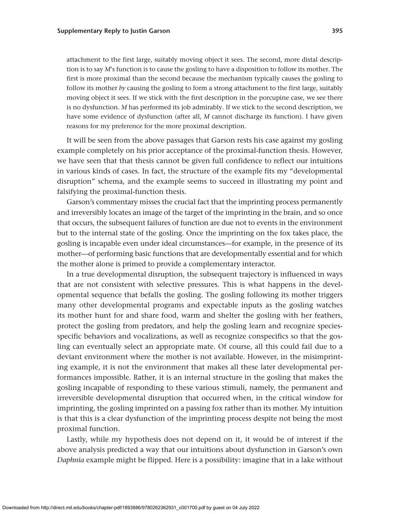attachment to the first large, suitably moving object it sees. The second, more distal description is to say *M*'s function is to cause the gosling to have a disposition to follow its mother. The first is more proximal than the second because the mechanism typically causes the gosling to follow its mother *by* causing the gosling to form a strong attachment to the first large, suitably moving object it sees. If we stick with the first description in the porcupine case, we see there is no dysfunction. *M* has performed its job admirably. If we stick to the second description, we have some evidence of dysfunction (after all, *M* cannot discharge its function). I have given reasons for my preference for the more proximal description.

It will be seen from the above passages that Garson rests his case against my gosling example completely on his prior acceptance of the proximal-function thesis. However, we have seen that that thesis cannot be given full confidence to reflect our intuitions in various kinds of cases. In fact, the structure of the example fits my "developmental disruption" schema, and the example seems to succeed in illustrating my point and falsifying the proximal-function thesis.

Garson's commentary misses the crucial fact that the imprinting process permanently and irreversibly locates an image of the target of the imprinting in the brain, and so once that occurs, the subsequent failures of function are due not to events in the environment but to the internal state of the gosling. Once the imprinting on the fox takes place, the gosling is incapable even under ideal circumstances—for example, in the presence of its mother—of performing basic functions that are developmentally essential and for which the mother alone is primed to provide a complementary interactor.

In a true developmental disruption, the subsequent trajectory is influenced in ways that are not consistent with selective pressures. This is what happens in the developmental sequence that befalls the gosling. The gosling following its mother triggers many other developmental programs and expectable inputs as the gosling watches its mother hunt for and share food, warm and shelter the gosling with her feathers, protect the gosling from predators, and help the gosling learn and recognize speciesspecific behaviors and vocalizations, as well as recognize conspecifics so that the gosling can eventually select an appropriate mate. Of course, all this could fail due to a deviant environment where the mother is not available. However, in the misimprinting example, it is not the environment that makes all these later developmental performances impossible. Rather, it is an internal structure in the gosling that makes the gosling incapable of responding to these various stimuli, namely, the permanent and irreversible developmental disruption that occurred when, in the critical window for imprinting, the gosling imprinted on a passing fox rather than its mother. My intuition is that this is a clear dysfunction of the imprinting process despite not being the most proximal function.

Lastly, while my hypothesis does not depend on it, it would be of interest if the above analysis predicted a way that our intuitions about dysfunction in Garson's own *Daphnia* example might be flipped. Here is a possibility: imagine that in a lake without